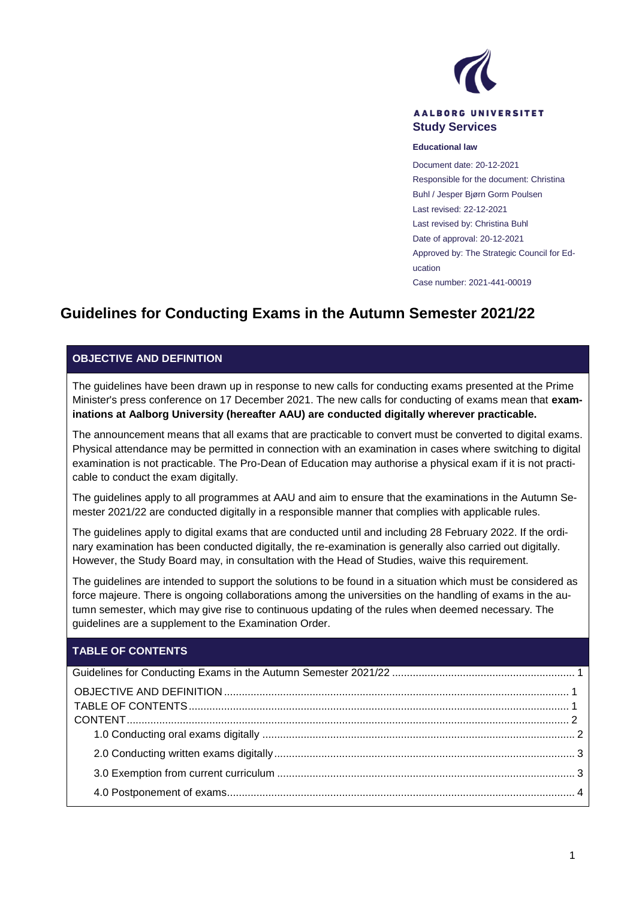

#### **AALBORG UNIVERSITET Study Services**

#### **Educational law**

Document date: 20-12-2021 Responsible for the document: Christina Buhl / Jesper Bjørn Gorm Poulsen Last revised: 22-12-2021 Last revised by: Christina Buhl Date of approval: 20-12-2021 Approved by: The Strategic Council for Education Case number: 2021-441-00019

# <span id="page-0-0"></span>**Guidelines for Conducting Exams in the Autumn Semester 2021/22**

### <span id="page-0-1"></span>**OBJECTIVE AND DEFINITION**

The guidelines have been drawn up in response to new calls for conducting exams presented at the Prime Minister's press conference on 17 December 2021. The new calls for conducting of exams mean that **examinations at Aalborg University (hereafter AAU) are conducted digitally wherever practicable.** 

The announcement means that all exams that are practicable to convert must be converted to digital exams. Physical attendance may be permitted in connection with an examination in cases where switching to digital examination is not practicable. The Pro-Dean of Education may authorise a physical exam if it is not practicable to conduct the exam digitally.

The guidelines apply to all programmes at AAU and aim to ensure that the examinations in the Autumn Semester 2021/22 are conducted digitally in a responsible manner that complies with applicable rules.

The guidelines apply to digital exams that are conducted until and including 28 February 2022. If the ordinary examination has been conducted digitally, the re-examination is generally also carried out digitally. However, the Study Board may, in consultation with the Head of Studies, waive this requirement.

The guidelines are intended to support the solutions to be found in a situation which must be considered as force majeure. There is ongoing collaborations among the universities on the handling of exams in the autumn semester, which may give rise to continuous updating of the rules when deemed necessary. The guidelines are a supplement to the Examination Order.

### <span id="page-0-2"></span>**TABLE OF CONTENTS**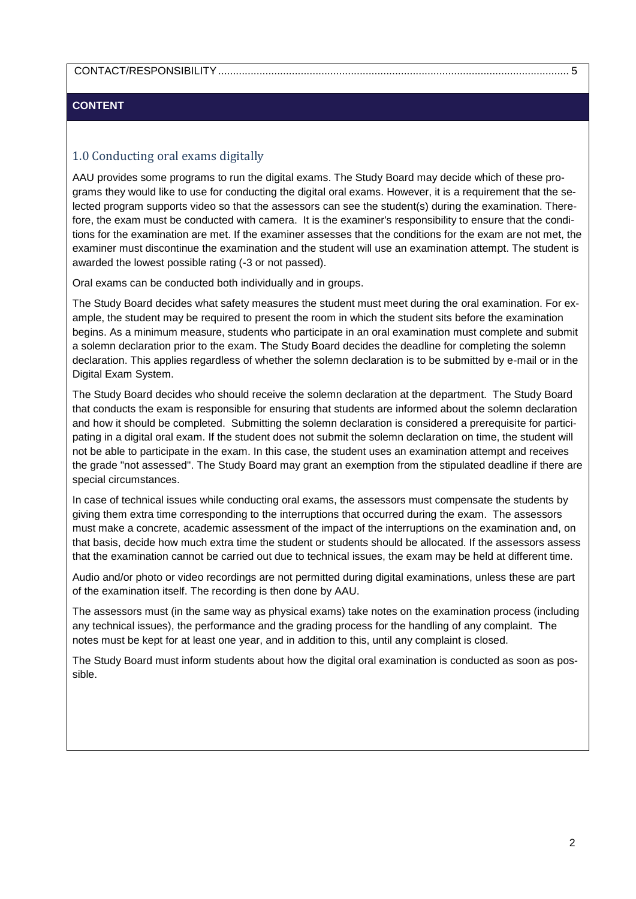### [CONTACT/RESPONSIBILITY.......................................................................................................................](#page-4-0) 5

### <span id="page-1-0"></span>**CONTENT**

# <span id="page-1-1"></span>1.0 Conducting oral exams digitally

AAU provides some programs to run the digital exams. The Study Board may decide which of these programs they would like to use for conducting the digital oral exams. However, it is a requirement that the selected program supports video so that the assessors can see the student(s) during the examination. Therefore, the exam must be conducted with camera. It is the examiner's responsibility to ensure that the conditions for the examination are met. If the examiner assesses that the conditions for the exam are not met, the examiner must discontinue the examination and the student will use an examination attempt. The student is awarded the lowest possible rating (-3 or not passed).

Oral exams can be conducted both individually and in groups.

The Study Board decides what safety measures the student must meet during the oral examination. For example, the student may be required to present the room in which the student sits before the examination begins. As a minimum measure, students who participate in an oral examination must complete and submit a solemn declaration prior to the exam. The Study Board decides the deadline for completing the solemn declaration. This applies regardless of whether the solemn declaration is to be submitted by e-mail or in the Digital Exam System.

The Study Board decides who should receive the solemn declaration at the department. The Study Board that conducts the exam is responsible for ensuring that students are informed about the solemn declaration and how it should be completed. Submitting the solemn declaration is considered a prerequisite for participating in a digital oral exam. If the student does not submit the solemn declaration on time, the student will not be able to participate in the exam. In this case, the student uses an examination attempt and receives the grade "not assessed". The Study Board may grant an exemption from the stipulated deadline if there are special circumstances.

In case of technical issues while conducting oral exams, the assessors must compensate the students by giving them extra time corresponding to the interruptions that occurred during the exam. The assessors must make a concrete, academic assessment of the impact of the interruptions on the examination and, on that basis, decide how much extra time the student or students should be allocated. If the assessors assess that the examination cannot be carried out due to technical issues, the exam may be held at different time.

Audio and/or photo or video recordings are not permitted during digital examinations, unless these are part of the examination itself. The recording is then done by AAU.

The assessors must (in the same way as physical exams) take notes on the examination process (including any technical issues), the performance and the grading process for the handling of any complaint. The notes must be kept for at least one year, and in addition to this, until any complaint is closed.

The Study Board must inform students about how the digital oral examination is conducted as soon as possible.

2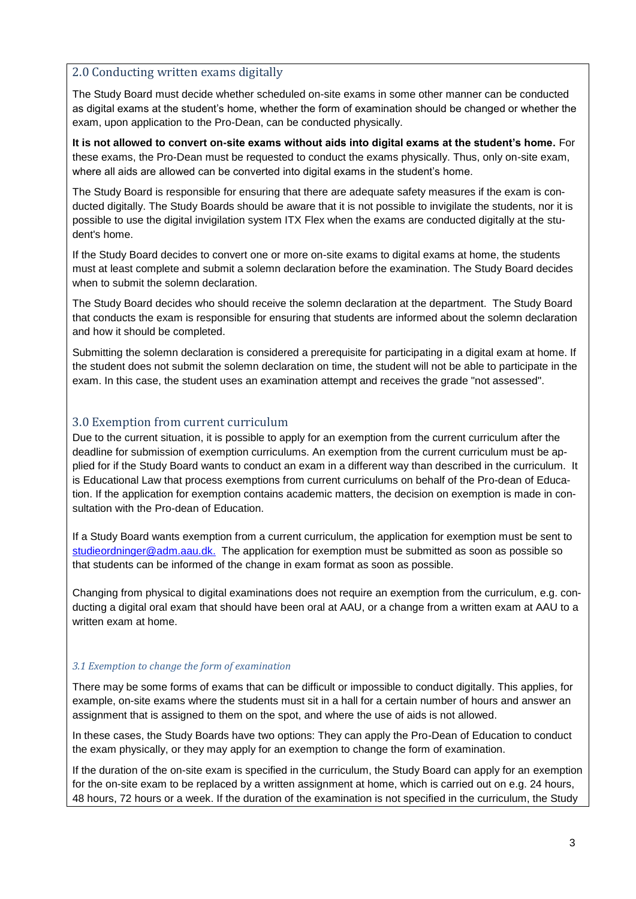# <span id="page-2-0"></span>2.0 Conducting written exams digitally

The Study Board must decide whether scheduled on-site exams in some other manner can be conducted as digital exams at the student's home, whether the form of examination should be changed or whether the exam, upon application to the Pro-Dean, can be conducted physically.

**It is not allowed to convert on-site exams without aids into digital exams at the student's home.** For these exams, the Pro-Dean must be requested to conduct the exams physically. Thus, only on-site exam, where all aids are allowed can be converted into digital exams in the student's home.

The Study Board is responsible for ensuring that there are adequate safety measures if the exam is conducted digitally. The Study Boards should be aware that it is not possible to invigilate the students, nor it is possible to use the digital invigilation system ITX Flex when the exams are conducted digitally at the student's home.

If the Study Board decides to convert one or more on-site exams to digital exams at home, the students must at least complete and submit a solemn declaration before the examination. The Study Board decides when to submit the solemn declaration.

The Study Board decides who should receive the solemn declaration at the department. The Study Board that conducts the exam is responsible for ensuring that students are informed about the solemn declaration and how it should be completed.

Submitting the solemn declaration is considered a prerequisite for participating in a digital exam at home. If the student does not submit the solemn declaration on time, the student will not be able to participate in the exam. In this case, the student uses an examination attempt and receives the grade "not assessed".

### <span id="page-2-1"></span>3.0 Exemption from current curriculum

Due to the current situation, it is possible to apply for an exemption from the current curriculum after the deadline for submission of exemption curriculums. An exemption from the current curriculum must be applied for if the Study Board wants to conduct an exam in a different way than described in the curriculum. It is Educational Law that process exemptions from current curriculums on behalf of the Pro-dean of Education. If the application for exemption contains academic matters, the decision on exemption is made in consultation with the Pro-dean of Education.

If a Study Board wants exemption from a current curriculum, the application for exemption must be sent to [studieordninger@adm.aau.dk.](mailto:studieordninger@adm.aau.dk) The application for exemption must be submitted as soon as possible so that students can be informed of the change in exam format as soon as possible.

Changing from physical to digital examinations does not require an exemption from the curriculum, e.g. conducting a digital oral exam that should have been oral at AAU, or a change from a written exam at AAU to a written exam at home.

### *3.1 Exemption to change the form of examination*

There may be some forms of exams that can be difficult or impossible to conduct digitally. This applies, for example, on-site exams where the students must sit in a hall for a certain number of hours and answer an assignment that is assigned to them on the spot, and where the use of aids is not allowed.

In these cases, the Study Boards have two options: They can apply the Pro-Dean of Education to conduct the exam physically, or they may apply for an exemption to change the form of examination.

If the duration of the on-site exam is specified in the curriculum, the Study Board can apply for an exemption for the on-site exam to be replaced by a written assignment at home, which is carried out on e.g. 24 hours, 48 hours, 72 hours or a week. If the duration of the examination is not specified in the curriculum, the Study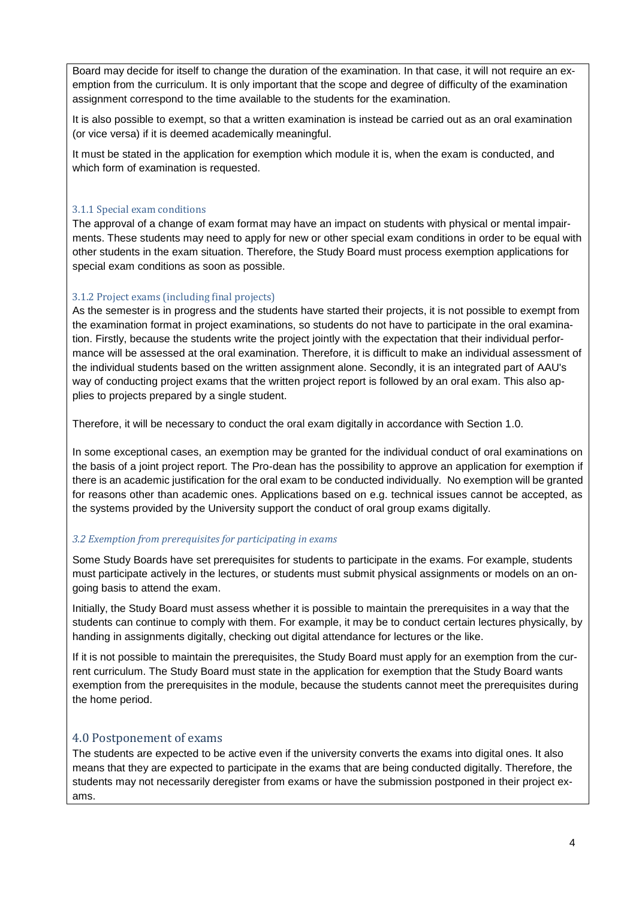Board may decide for itself to change the duration of the examination. In that case, it will not require an exemption from the curriculum. It is only important that the scope and degree of difficulty of the examination assignment correspond to the time available to the students for the examination.

It is also possible to exempt, so that a written examination is instead be carried out as an oral examination (or vice versa) if it is deemed academically meaningful.

It must be stated in the application for exemption which module it is, when the exam is conducted, and which form of examination is requested.

#### 3.1.1 Special exam conditions

The approval of a change of exam format may have an impact on students with physical or mental impairments. These students may need to apply for new or other special exam conditions in order to be equal with other students in the exam situation. Therefore, the Study Board must process exemption applications for special exam conditions as soon as possible.

### 3.1.2 Project exams (including final projects)

As the semester is in progress and the students have started their projects, it is not possible to exempt from the examination format in project examinations, so students do not have to participate in the oral examination. Firstly, because the students write the project jointly with the expectation that their individual performance will be assessed at the oral examination. Therefore, it is difficult to make an individual assessment of the individual students based on the written assignment alone. Secondly, it is an integrated part of AAU's way of conducting project exams that the written project report is followed by an oral exam. This also applies to projects prepared by a single student.

Therefore, it will be necessary to conduct the oral exam digitally in accordance with Section 1.0.

In some exceptional cases, an exemption may be granted for the individual conduct of oral examinations on the basis of a joint project report. The Pro-dean has the possibility to approve an application for exemption if there is an academic justification for the oral exam to be conducted individually. No exemption will be granted for reasons other than academic ones. Applications based on e.g. technical issues cannot be accepted, as the systems provided by the University support the conduct of oral group exams digitally.

### *3.2 Exemption from prerequisites for participating in exams*

Some Study Boards have set prerequisites for students to participate in the exams. For example, students must participate actively in the lectures, or students must submit physical assignments or models on an ongoing basis to attend the exam.

Initially, the Study Board must assess whether it is possible to maintain the prerequisites in a way that the students can continue to comply with them. For example, it may be to conduct certain lectures physically, by handing in assignments digitally, checking out digital attendance for lectures or the like.

If it is not possible to maintain the prerequisites, the Study Board must apply for an exemption from the current curriculum. The Study Board must state in the application for exemption that the Study Board wants exemption from the prerequisites in the module, because the students cannot meet the prerequisites during the home period.

### <span id="page-3-0"></span>4.0 Postponement of exams

The students are expected to be active even if the university converts the exams into digital ones. It also means that they are expected to participate in the exams that are being conducted digitally. Therefore, the students may not necessarily deregister from exams or have the submission postponed in their project exams.